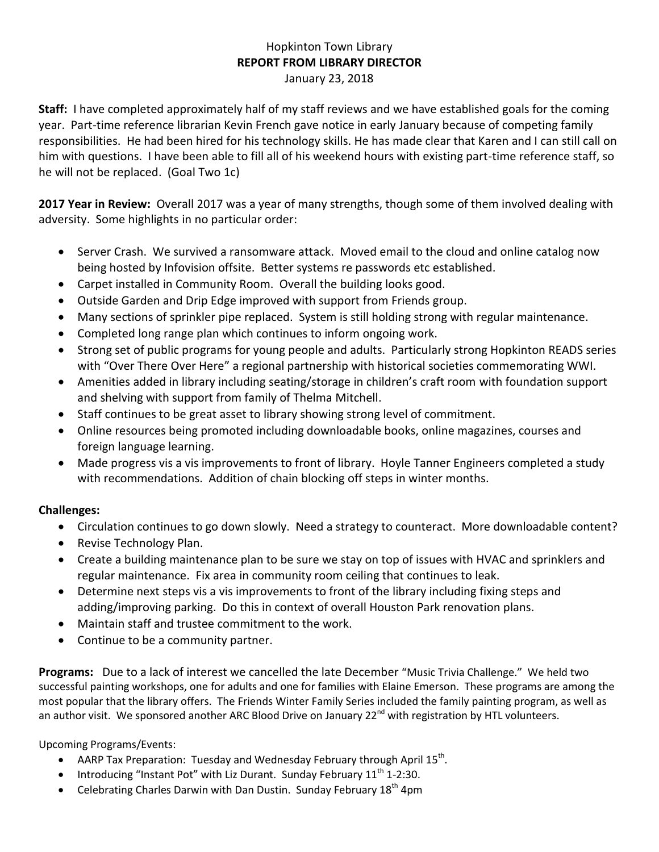## Hopkinton Town Library **REPORT FROM LIBRARY DIRECTOR** January 23, 2018

**Staff:** I have completed approximately half of my staff reviews and we have established goals for the coming year. Part-time reference librarian Kevin French gave notice in early January because of competing family responsibilities. He had been hired for his technology skills. He has made clear that Karen and I can still call on him with questions. I have been able to fill all of his weekend hours with existing part-time reference staff, so he will not be replaced. (Goal Two 1c)

**2017 Year in Review:** Overall 2017 was a year of many strengths, though some of them involved dealing with adversity. Some highlights in no particular order:

- Server Crash. We survived a ransomware attack. Moved email to the cloud and online catalog now being hosted by Infovision offsite. Better systems re passwords etc established.
- Carpet installed in Community Room. Overall the building looks good.
- Outside Garden and Drip Edge improved with support from Friends group.
- Many sections of sprinkler pipe replaced. System is still holding strong with regular maintenance.
- Completed long range plan which continues to inform ongoing work.
- Strong set of public programs for young people and adults. Particularly strong Hopkinton READS series with "Over There Over Here" a regional partnership with historical societies commemorating WWI.
- Amenities added in library including seating/storage in children's craft room with foundation support and shelving with support from family of Thelma Mitchell.
- Staff continues to be great asset to library showing strong level of commitment.
- Online resources being promoted including downloadable books, online magazines, courses and foreign language learning.
- Made progress vis a vis improvements to front of library. Hoyle Tanner Engineers completed a study with recommendations. Addition of chain blocking off steps in winter months.

## **Challenges:**

- Circulation continues to go down slowly. Need a strategy to counteract. More downloadable content?
- Revise Technology Plan.
- Create a building maintenance plan to be sure we stay on top of issues with HVAC and sprinklers and regular maintenance. Fix area in community room ceiling that continues to leak.
- Determine next steps vis a vis improvements to front of the library including fixing steps and adding/improving parking. Do this in context of overall Houston Park renovation plans.
- Maintain staff and trustee commitment to the work.
- Continue to be a community partner.

**Programs:** Due to a lack of interest we cancelled the late December "Music Trivia Challenge." We held two successful painting workshops, one for adults and one for families with Elaine Emerson. These programs are among the most popular that the library offers. The Friends Winter Family Series included the family painting program, as well as an author visit. We sponsored another ARC Blood Drive on January 22<sup>nd</sup> with registration by HTL volunteers.

Upcoming Programs/Events:

- AARP Tax Preparation: Tuesday and Wednesday February through April 15<sup>th</sup>.
- Introducing "Instant Pot" with Liz Durant. Sunday February  $11<sup>th</sup> 1-2:30$ .
- Celebrating Charles Darwin with Dan Dustin. Sunday February  $18<sup>th</sup>$  4pm